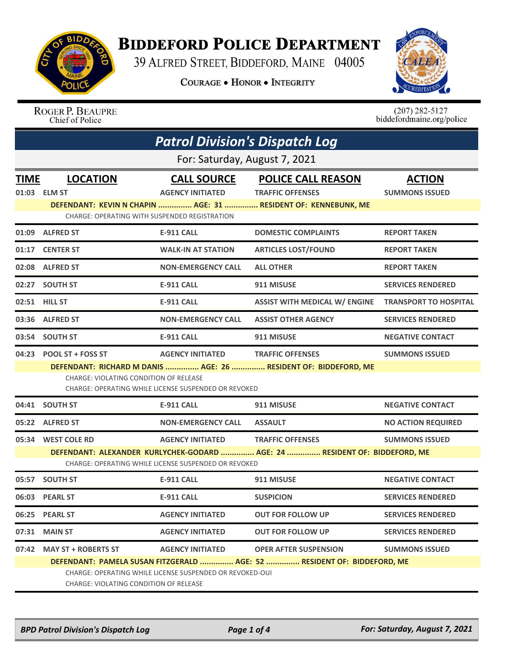

## **BIDDEFORD POLICE DEPARTMENT**

39 ALFRED STREET, BIDDEFORD, MAINE 04005

**COURAGE . HONOR . INTEGRITY** 



## ROGER P. BEAUPRE<br>Chief of Police

 $(207)$  282-5127 biddefordmaine.org/police

|             | <b>Patrol Division's Dispatch Log</b>                                                                                                                                         |                                                      |                                                                                                                        |                                        |  |  |
|-------------|-------------------------------------------------------------------------------------------------------------------------------------------------------------------------------|------------------------------------------------------|------------------------------------------------------------------------------------------------------------------------|----------------------------------------|--|--|
|             | For: Saturday, August 7, 2021                                                                                                                                                 |                                                      |                                                                                                                        |                                        |  |  |
| <b>TIME</b> | <b>LOCATION</b><br>01:03 ELM ST                                                                                                                                               | <b>CALL SOURCE</b><br><b>AGENCY INITIATED</b>        | <b>POLICE CALL REASON</b><br><b>TRAFFIC OFFENSES</b><br>DEFENDANT: KEVIN N CHAPIN  AGE: 31  RESIDENT OF: KENNEBUNK, ME | <b>ACTION</b><br><b>SUMMONS ISSUED</b> |  |  |
|             | <b>CHARGE: OPERATING WITH SUSPENDED REGISTRATION</b>                                                                                                                          |                                                      |                                                                                                                        |                                        |  |  |
|             | 01:09 ALFRED ST                                                                                                                                                               | <b>E-911 CALL</b>                                    | <b>DOMESTIC COMPLAINTS</b>                                                                                             | <b>REPORT TAKEN</b>                    |  |  |
| 01:17       | <b>CENTER ST</b>                                                                                                                                                              | <b>WALK-IN AT STATION</b>                            | <b>ARTICLES LOST/FOUND</b>                                                                                             | <b>REPORT TAKEN</b>                    |  |  |
|             | 02:08 ALFRED ST                                                                                                                                                               | <b>NON-EMERGENCY CALL</b>                            | <b>ALL OTHER</b>                                                                                                       | <b>REPORT TAKEN</b>                    |  |  |
|             | 02:27 SOUTH ST                                                                                                                                                                | <b>E-911 CALL</b>                                    | 911 MISUSE                                                                                                             | <b>SERVICES RENDERED</b>               |  |  |
|             | 02:51 HILL ST                                                                                                                                                                 | <b>E-911 CALL</b>                                    | <b>ASSIST WITH MEDICAL W/ ENGINE</b>                                                                                   | <b>TRANSPORT TO HOSPITAL</b>           |  |  |
|             | 03:36 ALFRED ST                                                                                                                                                               | <b>NON-EMERGENCY CALL</b>                            | <b>ASSIST OTHER AGENCY</b>                                                                                             | <b>SERVICES RENDERED</b>               |  |  |
|             | 03:54 SOUTH ST                                                                                                                                                                | <b>E-911 CALL</b>                                    | 911 MISUSE                                                                                                             | <b>NEGATIVE CONTACT</b>                |  |  |
| 04:23       | <b>POOL ST + FOSS ST</b>                                                                                                                                                      | <b>AGENCY INITIATED</b>                              | <b>TRAFFIC OFFENSES</b>                                                                                                | <b>SUMMONS ISSUED</b>                  |  |  |
|             | CHARGE: VIOLATING CONDITION OF RELEASE                                                                                                                                        | CHARGE: OPERATING WHILE LICENSE SUSPENDED OR REVOKED | DEFENDANT: RICHARD M DANIS  AGE: 26  RESIDENT OF: BIDDEFORD, ME                                                        |                                        |  |  |
|             | 04:41 SOUTH ST                                                                                                                                                                | <b>E-911 CALL</b>                                    | 911 MISUSE                                                                                                             | <b>NEGATIVE CONTACT</b>                |  |  |
|             | 05:22 ALFRED ST                                                                                                                                                               | <b>NON-EMERGENCY CALL</b>                            | <b>ASSAULT</b>                                                                                                         | <b>NO ACTION REQUIRED</b>              |  |  |
|             | 05:34 WEST COLE RD                                                                                                                                                            | <b>AGENCY INITIATED</b>                              | <b>TRAFFIC OFFENSES</b>                                                                                                | <b>SUMMONS ISSUED</b>                  |  |  |
|             | DEFENDANT: ALEXANDER KURLYCHEK-GODARD  AGE: 24  RESIDENT OF: BIDDEFORD, ME                                                                                                    |                                                      |                                                                                                                        |                                        |  |  |
|             |                                                                                                                                                                               | CHARGE: OPERATING WHILE LICENSE SUSPENDED OR REVOKED |                                                                                                                        |                                        |  |  |
| 05:57       | <b>SOUTH ST</b>                                                                                                                                                               | <b>E-911 CALL</b>                                    | 911 MISUSE                                                                                                             | <b>NEGATIVE CONTACT</b>                |  |  |
| 06:03       | <b>PEARL ST</b>                                                                                                                                                               | <b>E-911 CALL</b>                                    | <b>SUSPICION</b>                                                                                                       | <b>SERVICES RENDERED</b>               |  |  |
|             | 06:25 PEARL ST                                                                                                                                                                | <b>AGENCY INITIATED</b>                              | <b>OUT FOR FOLLOW UP</b>                                                                                               | <b>SERVICES RENDERED</b>               |  |  |
| 07:31       | <b>MAIN ST</b>                                                                                                                                                                | <b>AGENCY INITIATED</b>                              | <b>OUT FOR FOLLOW UP</b>                                                                                               | <b>SERVICES RENDERED</b>               |  |  |
| 07:42       | <b>MAY ST + ROBERTS ST</b>                                                                                                                                                    | <b>AGENCY INITIATED</b>                              | <b>OPER AFTER SUSPENSION</b>                                                                                           | <b>SUMMONS ISSUED</b>                  |  |  |
|             | DEFENDANT: PAMELA SUSAN FITZGERALD  AGE: 52  RESIDENT OF: BIDDEFORD, ME<br>CHARGE: OPERATING WHILE LICENSE SUSPENDED OR REVOKED-OUI<br>CHARGE: VIOLATING CONDITION OF RELEASE |                                                      |                                                                                                                        |                                        |  |  |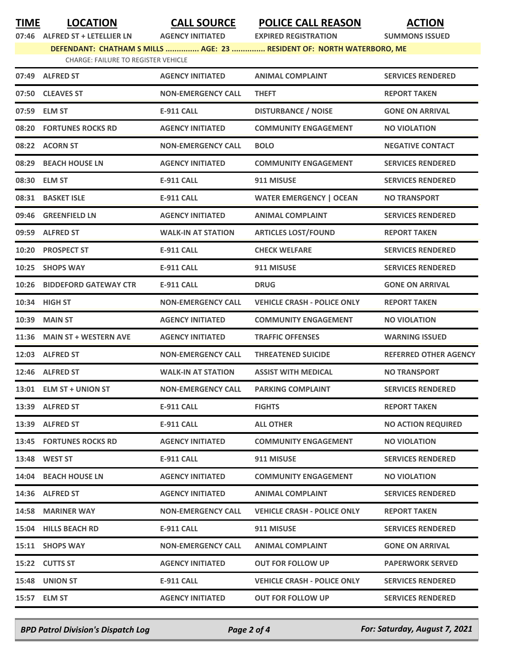**TIME LOCATION CALL SOURCE POLICE CALL REASON ACTION**

**07:46 ALFRED ST + LETELLIER LN AGENCY INITIATED EXPIRED REGISTRATION SUMMONS ISSUED**

**DEFENDANT: CHATHAM S MILLS ............... AGE: 23 ............... RESIDENT OF: NORTH WATERBORO, ME**

| CHARGE: FAILURE TO REGISTER VEHICLE |  |
|-------------------------------------|--|
|                                     |  |

|       | 07:49 ALFRED ST              | <b>AGENCY INITIATED</b>   | <b>ANIMAL COMPLAINT</b>            | <b>SERVICES RENDERED</b>     |
|-------|------------------------------|---------------------------|------------------------------------|------------------------------|
|       | 07:50 CLEAVES ST             | <b>NON-EMERGENCY CALL</b> | <b>THEFT</b>                       | <b>REPORT TAKEN</b>          |
|       | 07:59 ELM ST                 | <b>E-911 CALL</b>         | <b>DISTURBANCE / NOISE</b>         | <b>GONE ON ARRIVAL</b>       |
|       | 08:20 FORTUNES ROCKS RD      | <b>AGENCY INITIATED</b>   | <b>COMMUNITY ENGAGEMENT</b>        | <b>NO VIOLATION</b>          |
|       | 08:22 ACORN ST               | <b>NON-EMERGENCY CALL</b> | <b>BOLO</b>                        | <b>NEGATIVE CONTACT</b>      |
|       | 08:29 BEACH HOUSE LN         | <b>AGENCY INITIATED</b>   | <b>COMMUNITY ENGAGEMENT</b>        | <b>SERVICES RENDERED</b>     |
|       | 08:30 ELM ST                 | <b>E-911 CALL</b>         | 911 MISUSE                         | <b>SERVICES RENDERED</b>     |
| 08:31 | <b>BASKET ISLE</b>           | <b>E-911 CALL</b>         | <b>WATER EMERGENCY   OCEAN</b>     | <b>NO TRANSPORT</b>          |
|       | 09:46 GREENFIELD LN          | <b>AGENCY INITIATED</b>   | <b>ANIMAL COMPLAINT</b>            | <b>SERVICES RENDERED</b>     |
|       | 09:59 ALFRED ST              | <b>WALK-IN AT STATION</b> | <b>ARTICLES LOST/FOUND</b>         | <b>REPORT TAKEN</b>          |
|       | 10:20 PROSPECT ST            | <b>E-911 CALL</b>         | <b>CHECK WELFARE</b>               | <b>SERVICES RENDERED</b>     |
| 10:25 | <b>SHOPS WAY</b>             | <b>E-911 CALL</b>         | 911 MISUSE                         | <b>SERVICES RENDERED</b>     |
| 10:26 | <b>BIDDEFORD GATEWAY CTR</b> | <b>E-911 CALL</b>         | <b>DRUG</b>                        | <b>GONE ON ARRIVAL</b>       |
|       | 10:34 HIGH ST                | <b>NON-EMERGENCY CALL</b> | <b>VEHICLE CRASH - POLICE ONLY</b> | <b>REPORT TAKEN</b>          |
| 10:39 | <b>MAIN ST</b>               | <b>AGENCY INITIATED</b>   | <b>COMMUNITY ENGAGEMENT</b>        | <b>NO VIOLATION</b>          |
| 11:36 | <b>MAIN ST + WESTERN AVE</b> | <b>AGENCY INITIATED</b>   | <b>TRAFFIC OFFENSES</b>            | <b>WARNING ISSUED</b>        |
|       | 12:03 ALFRED ST              | <b>NON-EMERGENCY CALL</b> | <b>THREATENED SUICIDE</b>          | <b>REFERRED OTHER AGENCY</b> |
|       | 12:46 ALFRED ST              | <b>WALK-IN AT STATION</b> | <b>ASSIST WITH MEDICAL</b>         | <b>NO TRANSPORT</b>          |
|       | 13:01 ELM ST + UNION ST      | <b>NON-EMERGENCY CALL</b> | <b>PARKING COMPLAINT</b>           | <b>SERVICES RENDERED</b>     |
|       | 13:39 ALFRED ST              | <b>E-911 CALL</b>         | <b>FIGHTS</b>                      | <b>REPORT TAKEN</b>          |
|       | 13:39 ALFRED ST              | <b>E-911 CALL</b>         | <b>ALL OTHER</b>                   | <b>NO ACTION REQUIRED</b>    |
|       | 13:45 FORTUNES ROCKS RD      | <b>AGENCY INITIATED</b>   | <b>COMMUNITY ENGAGEMENT</b>        | <b>NO VIOLATION</b>          |
|       | 13:48 WEST ST                | <b>E-911 CALL</b>         | 911 MISUSE                         | <b>SERVICES RENDERED</b>     |
|       | 14:04 BEACH HOUSE LN         | <b>AGENCY INITIATED</b>   | <b>COMMUNITY ENGAGEMENT</b>        | <b>NO VIOLATION</b>          |
|       | 14:36 ALFRED ST              | <b>AGENCY INITIATED</b>   | <b>ANIMAL COMPLAINT</b>            | <b>SERVICES RENDERED</b>     |
| 14:58 | <b>MARINER WAY</b>           | <b>NON-EMERGENCY CALL</b> | <b>VEHICLE CRASH - POLICE ONLY</b> | <b>REPORT TAKEN</b>          |
|       | 15:04 HILLS BEACH RD         | <b>E-911 CALL</b>         | 911 MISUSE                         | <b>SERVICES RENDERED</b>     |
|       | 15:11 SHOPS WAY              | <b>NON-EMERGENCY CALL</b> | <b>ANIMAL COMPLAINT</b>            | <b>GONE ON ARRIVAL</b>       |
|       | 15:22 CUTTS ST               | <b>AGENCY INITIATED</b>   | <b>OUT FOR FOLLOW UP</b>           | <b>PAPERWORK SERVED</b>      |
|       | 15:48 UNION ST               | <b>E-911 CALL</b>         | <b>VEHICLE CRASH - POLICE ONLY</b> | <b>SERVICES RENDERED</b>     |
|       | 15:57 ELM ST                 | <b>AGENCY INITIATED</b>   | <b>OUT FOR FOLLOW UP</b>           | <b>SERVICES RENDERED</b>     |

*BPD Patrol Division's Dispatch Log Page 2 of 4 For: Saturday, August 7, 2021*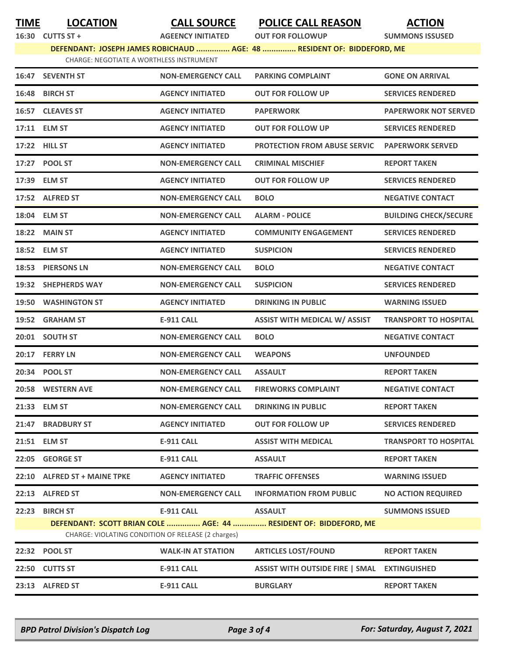**TIME LOCATION CALL SOURCE POLICE CALL REASON ACTION**

**16:30 CUTTS ST + AGEENCY INITIATED OUT FOR FOLLOWUP SUMMONS ISSUSED JD ............... AGE: 48 ............... RESIDENT OF: BIDDEFORD, ME** 

| DEFENDANT: JOSEPH JAMES ROBICHAUD |                                          |  |  |
|-----------------------------------|------------------------------------------|--|--|
|                                   | CHARGE: NEGOTIATE A WORTHLESS INSTRUMENT |  |  |

|       | 16:47 SEVENTH ST                                   | <b>NON-EMERGENCY CALL</b> | <b>PARKING COMPLAINT</b>                                         | <b>GONE ON ARRIVAL</b>       |
|-------|----------------------------------------------------|---------------------------|------------------------------------------------------------------|------------------------------|
| 16:48 | <b>BIRCH ST</b>                                    | <b>AGENCY INITIATED</b>   | <b>OUT FOR FOLLOW UP</b>                                         | <b>SERVICES RENDERED</b>     |
|       | 16:57 CLEAVES ST                                   | <b>AGENCY INITIATED</b>   | <b>PAPERWORK</b>                                                 | <b>PAPERWORK NOT SERVED</b>  |
|       | 17:11 ELM ST                                       | <b>AGENCY INITIATED</b>   | <b>OUT FOR FOLLOW UP</b>                                         | <b>SERVICES RENDERED</b>     |
|       | 17:22 HILL ST                                      | <b>AGENCY INITIATED</b>   | <b>PROTECTION FROM ABUSE SERVIC</b>                              | <b>PAPERWORK SERVED</b>      |
|       | 17:27 POOL ST                                      | <b>NON-EMERGENCY CALL</b> | <b>CRIMINAL MISCHIEF</b>                                         | <b>REPORT TAKEN</b>          |
|       | 17:39 ELM ST                                       | <b>AGENCY INITIATED</b>   | <b>OUT FOR FOLLOW UP</b>                                         | <b>SERVICES RENDERED</b>     |
|       | 17:52 ALFRED ST                                    | <b>NON-EMERGENCY CALL</b> | <b>BOLO</b>                                                      | <b>NEGATIVE CONTACT</b>      |
|       | 18:04 ELM ST                                       | <b>NON-EMERGENCY CALL</b> | <b>ALARM - POLICE</b>                                            | <b>BUILDING CHECK/SECURE</b> |
| 18:22 | <b>MAIN ST</b>                                     | <b>AGENCY INITIATED</b>   | <b>COMMUNITY ENGAGEMENT</b>                                      | <b>SERVICES RENDERED</b>     |
|       | 18:52 ELM ST                                       | <b>AGENCY INITIATED</b>   | <b>SUSPICION</b>                                                 | <b>SERVICES RENDERED</b>     |
|       | 18:53 PIERSONS LN                                  | <b>NON-EMERGENCY CALL</b> | <b>BOLO</b>                                                      | <b>NEGATIVE CONTACT</b>      |
|       | 19:32 SHEPHERDS WAY                                | <b>NON-EMERGENCY CALL</b> | <b>SUSPICION</b>                                                 | <b>SERVICES RENDERED</b>     |
| 19:50 | <b>WASHINGTON ST</b>                               | <b>AGENCY INITIATED</b>   | <b>DRINKING IN PUBLIC</b>                                        | <b>WARNING ISSUED</b>        |
|       | 19:52 GRAHAM ST                                    | <b>E-911 CALL</b>         | <b>ASSIST WITH MEDICAL W/ ASSIST</b>                             | <b>TRANSPORT TO HOSPITAL</b> |
|       | 20:01 SOUTH ST                                     | <b>NON-EMERGENCY CALL</b> | <b>BOLO</b>                                                      | <b>NEGATIVE CONTACT</b>      |
|       | 20:17 FERRY LN                                     | <b>NON-EMERGENCY CALL</b> | <b>WEAPONS</b>                                                   | <b>UNFOUNDED</b>             |
| 20:34 | <b>POOL ST</b>                                     | <b>NON-EMERGENCY CALL</b> | <b>ASSAULT</b>                                                   | <b>REPORT TAKEN</b>          |
| 20:58 | <b>WESTERN AVE</b>                                 | <b>NON-EMERGENCY CALL</b> | <b>FIREWORKS COMPLAINT</b>                                       | <b>NEGATIVE CONTACT</b>      |
|       | 21:33 ELM ST                                       | <b>NON-EMERGENCY CALL</b> | <b>DRINKING IN PUBLIC</b>                                        | <b>REPORT TAKEN</b>          |
|       | 21:47 BRADBURY ST                                  | <b>AGENCY INITIATED</b>   | <b>OUT FOR FOLLOW UP</b>                                         | <b>SERVICES RENDERED</b>     |
|       | 21:51 ELM ST                                       | E-911 CALL                | <b>ASSIST WITH MEDICAL</b>                                       | <b>TRANSPORT TO HOSPITAL</b> |
| 22:05 | <b>GEORGE ST</b>                                   | <b>E-911 CALL</b>         | <b>ASSAULT</b>                                                   | <b>REPORT TAKEN</b>          |
| 22:10 | <b>ALFRED ST + MAINE TPKE</b>                      | <b>AGENCY INITIATED</b>   | <b>TRAFFIC OFFENSES</b>                                          | <b>WARNING ISSUED</b>        |
| 22:13 | <b>ALFRED ST</b>                                   | <b>NON-EMERGENCY CALL</b> | <b>INFORMATION FROM PUBLIC</b>                                   | <b>NO ACTION REQUIRED</b>    |
| 22:23 | <b>BIRCH ST</b>                                    | <b>E-911 CALL</b>         | <b>ASSAULT</b>                                                   | <b>SUMMONS ISSUED</b>        |
|       | CHARGE: VIOLATING CONDITION OF RELEASE (2 charges) |                           | DEFENDANT: SCOTT BRIAN COLE  AGE: 44  RESIDENT OF: BIDDEFORD, ME |                              |
| 22:32 | <b>POOL ST</b>                                     | <b>WALK-IN AT STATION</b> | <b>ARTICLES LOST/FOUND</b>                                       | <b>REPORT TAKEN</b>          |
| 22:50 | <b>CUTTS ST</b>                                    | <b>E-911 CALL</b>         | <b>ASSIST WITH OUTSIDE FIRE   SMAL</b>                           | <b>EXTINGUISHED</b>          |
| 23:13 | <b>ALFRED ST</b>                                   | <b>E-911 CALL</b>         | <b>BURGLARY</b>                                                  | <b>REPORT TAKEN</b>          |
|       |                                                    |                           |                                                                  |                              |